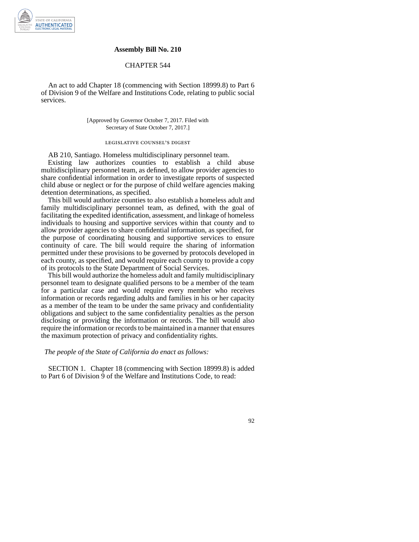

### **Assembly Bill No. 210**

## CHAPTER 544

An act to add Chapter 18 (commencing with Section 18999.8) to Part 6 of Division 9 of the Welfare and Institutions Code, relating to public social services.

> [Approved by Governor October 7, 2017. Filed with Secretary of State October 7, 2017.]

# legislative counsel' s digest

AB 210, Santiago. Homeless multidisciplinary personnel team.

Existing law authorizes counties to establish a child abuse multidisciplinary personnel team, as defined, to allow provider agencies to share confidential information in order to investigate reports of suspected child abuse or neglect or for the purpose of child welfare agencies making detention determinations, as specified.

This bill would authorize counties to also establish a homeless adult and family multidisciplinary personnel team, as defined, with the goal of facilitating the expedited identification, assessment, and linkage of homeless individuals to housing and supportive services within that county and to allow provider agencies to share confidential information, as specified, for the purpose of coordinating housing and supportive services to ensure continuity of care. The bill would require the sharing of information permitted under these provisions to be governed by protocols developed in each county, as specified, and would require each county to provide a copy of its protocols to the State Department of Social Services.

This bill would authorize the homeless adult and family multidisciplinary personnel team to designate qualified persons to be a member of the team for a particular case and would require every member who receives information or records regarding adults and families in his or her capacity as a member of the team to be under the same privacy and confidentiality obligations and subject to the same confidentiality penalties as the person disclosing or providing the information or records. The bill would also require the information or records to be maintained in a manner that ensures the maximum protection of privacy and confidentiality rights.

### *The people of the State of California do enact as follows:*

SECTION 1. Chapter 18 (commencing with Section 18999.8) is added to Part 6 of Division 9 of the Welfare and Institutions Code, to read: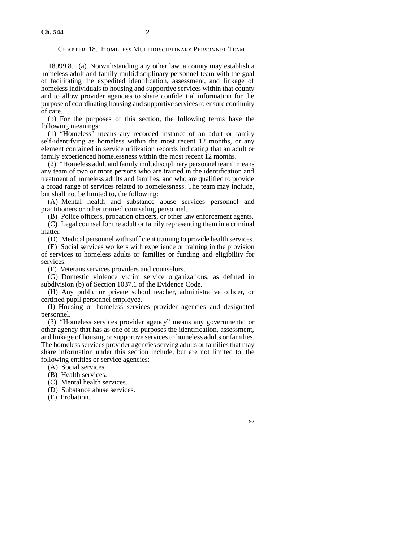### Chapter 18. Homeless Multidisciplinary Personnel Team

18999.8. (a) Notwithstanding any other law, a county may establish a homeless adult and family multidisciplinary personnel team with the goal of facilitating the expedited identification, assessment, and linkage of homeless individuals to housing and supportive services within that county and to allow provider agencies to share confidential information for the purpose of coordinating housing and supportive services to ensure continuity of care.

(b) For the purposes of this section, the following terms have the following meanings:

(1) "Homeless" means any recorded instance of an adult or family self-identifying as homeless within the most recent 12 months, or any element contained in service utilization records indicating that an adult or family experienced homelessness within the most recent 12 months.

(2) "Homeless adult and family multidisciplinary personnel team" means any team of two or more persons who are trained in the identification and treatment of homeless adults and families, and who are qualified to provide a broad range of services related to homelessness. The team may include, but shall not be limited to, the following:

(A) Mental health and substance abuse services personnel and practitioners or other trained counseling personnel.

(B) Police officers, probation officers, or other law enforcement agents. (C) Legal counsel for the adult or family representing them in a criminal matter.

(D) Medical personnel with sufficient training to provide health services.

(E) Social services workers with experience or training in the provision of services to homeless adults or families or funding and eligibility for services.

(F) Veterans services providers and counselors.

(G) Domestic violence victim service organizations, as defined in subdivision (b) of Section 1037.1 of the Evidence Code.

(H) Any public or private school teacher, administrative officer, or certified pupil personnel employee.

(I) Housing or homeless services provider agencies and designated personnel.

(3) "Homeless services provider agency" means any governmental or other agency that has as one of its purposes the identification, assessment, and linkage of housing or supportive services to homeless adults or families. The homeless services provider agencies serving adults or families that may share information under this section include, but are not limited to, the following entities or service agencies:

(A) Social services.

(B) Health services.

(C) Mental health services.

(D) Substance abuse services.

(E) Probation.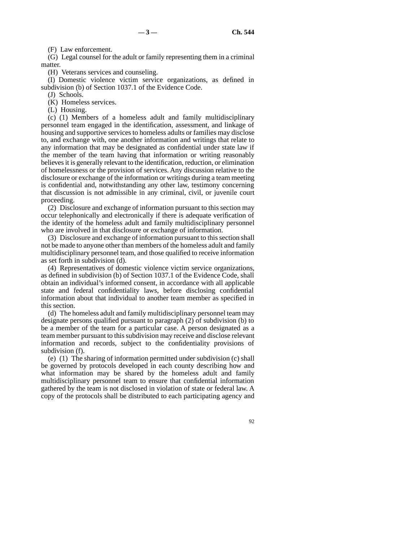(F) Law enforcement.

(G) Legal counsel for the adult or family representing them in a criminal matter.

(H) Veterans services and counseling.

(I) Domestic violence victim service organizations, as defined in subdivision (b) of Section 1037.1 of the Evidence Code.

(J) Schools.

(K) Homeless services.

(L) Housing.

(c) (1) Members of a homeless adult and family multidisciplinary personnel team engaged in the identification, assessment, and linkage of housing and supportive services to homeless adults or families may disclose to, and exchange with, one another information and writings that relate to any information that may be designated as confidential under state law if the member of the team having that information or writing reasonably believes it is generally relevant to the identification, reduction, or elimination of homelessness or the provision of services. Any discussion relative to the disclosure or exchange of the information or writings during a team meeting is confidential and, notwithstanding any other law, testimony concerning that discussion is not admissible in any criminal, civil, or juvenile court proceeding.

(2) Disclosure and exchange of information pursuant to this section may occur telephonically and electronically if there is adequate verification of the identity of the homeless adult and family multidisciplinary personnel who are involved in that disclosure or exchange of information.

(3) Disclosure and exchange of information pursuant to this section shall not be made to anyone other than members of the homeless adult and family multidisciplinary personnel team, and those qualified to receive information as set forth in subdivision (d).

(4) Representatives of domestic violence victim service organizations, as defined in subdivision (b) of Section 1037.1 of the Evidence Code, shall obtain an individual's informed consent, in accordance with all applicable state and federal confidentiality laws, before disclosing confidential information about that individual to another team member as specified in this section.

(d) The homeless adult and family multidisciplinary personnel team may designate persons qualified pursuant to paragraph (2) of subdivision (b) to be a member of the team for a particular case. A person designated as a team member pursuant to this subdivision may receive and disclose relevant information and records, subject to the confidentiality provisions of subdivision (f).

(e) (1) The sharing of information permitted under subdivision (c) shall be governed by protocols developed in each county describing how and what information may be shared by the homeless adult and family multidisciplinary personnel team to ensure that confidential information gathered by the team is not disclosed in violation of state or federal law. A copy of the protocols shall be distributed to each participating agency and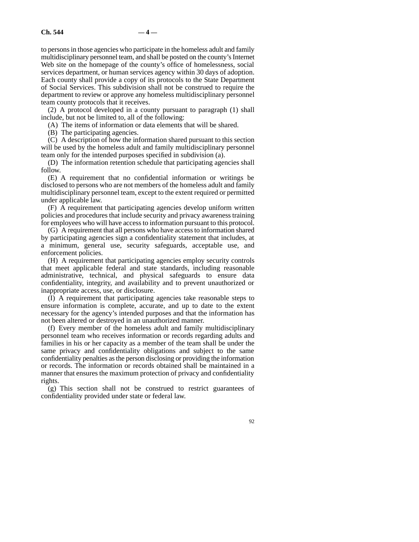to persons in those agencies who participate in the homeless adult and family multidisciplinary personnel team, and shall be posted on the county's Internet Web site on the homepage of the county's office of homelessness, social services department, or human services agency within 30 days of adoption. Each county shall provide a copy of its protocols to the State Department of Social Services. This subdivision shall not be construed to require the department to review or approve any homeless multidisciplinary personnel team county protocols that it receives.

(2) A protocol developed in a county pursuant to paragraph (1) shall include, but not be limited to, all of the following:

(A) The items of information or data elements that will be shared.

(B) The participating agencies.

(C) A description of how the information shared pursuant to this section will be used by the homeless adult and family multidisciplinary personnel team only for the intended purposes specified in subdivision (a).

(D) The information retention schedule that participating agencies shall follow.

(E) A requirement that no confidential information or writings be disclosed to persons who are not members of the homeless adult and family multidisciplinary personnel team, except to the extent required or permitted under applicable law.

(F) A requirement that participating agencies develop uniform written policies and procedures that include security and privacy awareness training for employees who will have access to information pursuant to this protocol.

(G) A requirement that all persons who have access to information shared by participating agencies sign a confidentiality statement that includes, at a minimum, general use, security safeguards, acceptable use, and enforcement policies.

(H) A requirement that participating agencies employ security controls that meet applicable federal and state standards, including reasonable administrative, technical, and physical safeguards to ensure data confidentiality, integrity, and availability and to prevent unauthorized or inappropriate access, use, or disclosure.

(I) A requirement that participating agencies take reasonable steps to ensure information is complete, accurate, and up to date to the extent necessary for the agency's intended purposes and that the information has not been altered or destroyed in an unauthorized manner.

(f) Every member of the homeless adult and family multidisciplinary personnel team who receives information or records regarding adults and families in his or her capacity as a member of the team shall be under the same privacy and confidentiality obligations and subject to the same confidentiality penalties as the person disclosing or providing the information or records. The information or records obtained shall be maintained in a manner that ensures the maximum protection of privacy and confidentiality rights.

(g) This section shall not be construed to restrict guarantees of confidentiality provided under state or federal law.